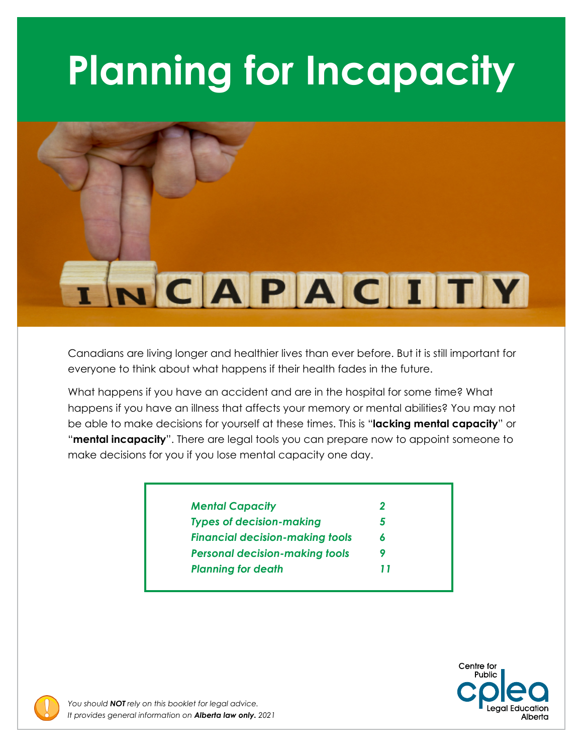# **Planning for Incapacity**



Canadians are living longer and healthier lives than ever before. But it is still important for everyone to think about what happens if their health fades in the future.

What happens if you have an accident and are in the hospital for some time? What happens if you have an illness that affects your memory or mental abilities? You may not be able to make decisions for yourself at these times. This is "**lacking mental capacity**" or "**mental incapacity**". There are legal tools you can prepare now to appoint someone to make decisions for you if you lose mental capacity one day.

| <b>Mental Capacity</b>                 | 2 |
|----------------------------------------|---|
| <b>Types of decision-making</b>        | 5 |
| <b>Financial decision-making tools</b> | 6 |
| <b>Personal decision-making tools</b>  | 9 |
| <b>Planning for death</b>              |   |



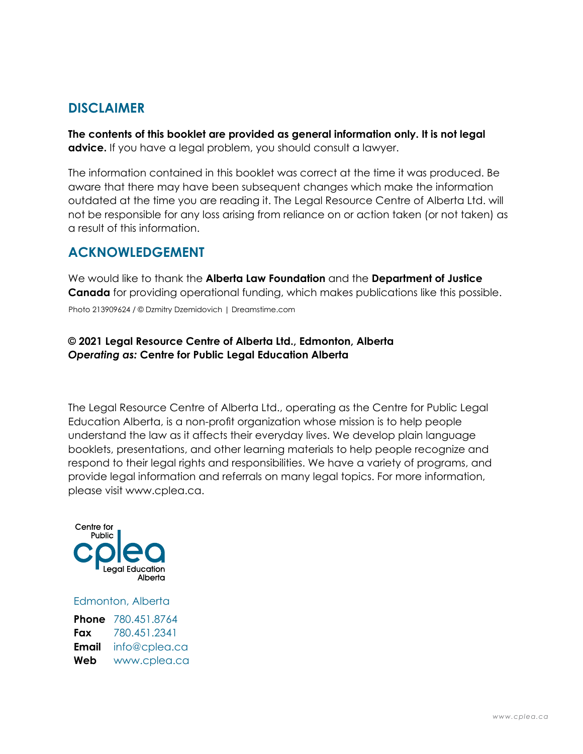#### **DISCLAIMER**

**The contents of this booklet are provided as general information only. It is not legal advice.** If you have a legal problem, you should consult a lawyer.

The information contained in this booklet was correct at the time it was produced. Be aware that there may have been subsequent changes which make the information outdated at the time you are reading it. The Legal Resource Centre of Alberta Ltd. will not be responsible for any loss arising from reliance on or action taken (or not taken) as a result of this information.

## **ACKNOWLEDGEMENT**

We would like to thank the **Alberta Law Foundation** and the **Department of Justice Canada** for providing operational funding, which makes publications like this possible. Photo 213909624 / © Dzmitry Dzemidovich | Dreamstime.com

#### **© 2021 Legal Resource Centre of Alberta Ltd., Edmonton, Alberta**  *Operating as:* **Centre for Public Legal Education Alberta**

The Legal Resource Centre of Alberta Ltd., operating as the Centre for Public Legal Education Alberta, is a non-profit organization whose mission is to help people understand the law as it affects their everyday lives. We develop plain language booklets, presentations, and other learning materials to help people recognize and respond to their legal rights and responsibilities. We have a variety of programs, and provide legal information and referrals on many legal topics. For more information, please visit [www.cplea.ca.](www.cplea.ca)



Edmonton, Alberta

|       | <b>Phone</b> 780.451.8764 |
|-------|---------------------------|
| Fax   | 780.451.2341              |
| Email | info@cplea.ca             |
| Web   | www.cplea.ca              |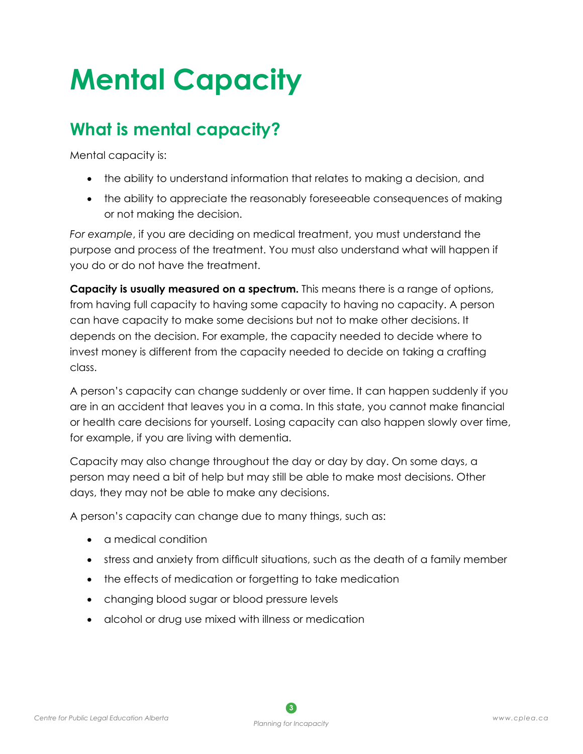## **Mental Capacity**

## **What is mental capacity?**

Mental capacity is:

- the ability to understand information that relates to making a decision, and
- the ability to appreciate the reasonably foreseeable consequences of making or not making the decision.

*For example*, if you are deciding on medical treatment, you must understand the purpose and process of the treatment. You must also understand what will happen if you do or do not have the treatment.

**Capacity is usually measured on a spectrum.** This means there is a range of options, from having full capacity to having some capacity to having no capacity. A person can have capacity to make some decisions but not to make other decisions. It depends on the decision. For example, the capacity needed to decide where to invest money is different from the capacity needed to decide on taking a crafting class.

A person's capacity can change suddenly or over time. It can happen suddenly if you are in an accident that leaves you in a coma. In this state, you cannot make financial or health care decisions for yourself. Losing capacity can also happen slowly over time, for example, if you are living with dementia.

Capacity may also change throughout the day or day by day. On some days, a person may need a bit of help but may still be able to make most decisions. Other days, they may not be able to make any decisions.

A person's capacity can change due to many things, such as:

- • a medical condition
- stress and anxiety from difficult situations, such as the death of a family member
- the effects of medication or forgetting to take medication
- changing blood sugar or blood pressure levels
- alcohol or drug use mixed with illness or medication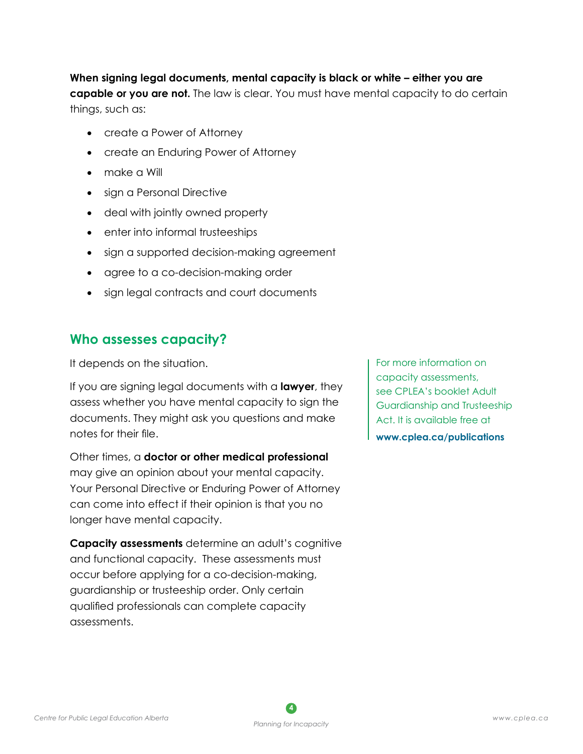**When signing legal documents, mental capacity is black or white – either you are capable or you are not.** The law is clear. You must have mental capacity to do certain things, such as:

- create a Power of Attorney
- create an Enduring Power of Attorney
- make a Will
- sign a Personal Directive
- deal with jointly owned property
- enter into informal trusteeships
- sign a supported decision-making agreement
- • agree to a co-decision-making order
- sign legal contracts and court documents

#### **Who assesses capacity?**

It depends on the situation.

If you are signing legal documents with a **lawyer**, they assess whether you have mental capacity to sign the documents. They might ask you questions and make notes for their file.

Other times, a **doctor or other medical professional**  may give an opinion about your mental capacity. Your Personal Directive or Enduring Power of Attorney can come into effect if their opinion is that you no longer have mental capacity.

**Capacity assessments** determine an adult's cognitive and functional capacity. These assessments must occur before applying for a co-decision-making, guardianship or trusteeship order. Only certain qualified professionals can complete capacity assessments.

For more information on capacity assessments, see CPLEA's booklet Adult Guardianship and Trusteeship Act. It is available free at **[www.cplea.ca/publications](http://www.cplea.ca/publications)**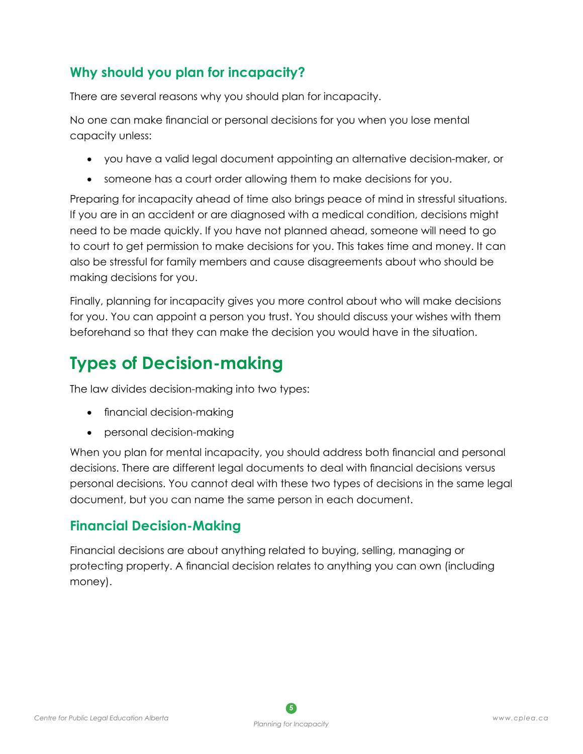## **Why should you plan for incapacity?**

There are several reasons why you should plan for incapacity.

No one can make financial or personal decisions for you when you lose mental capacity unless:

- • you have a valid legal document appointing an alternative decision-maker, or
- someone has a court order allowing them to make decisions for you.

Preparing for incapacity ahead of time also brings peace of mind in stressful situations. If you are in an accident or are diagnosed with a medical condition, decisions might need to be made quickly. If you have not planned ahead, someone will need to go to court to get permission to make decisions for you. This takes time and money. It can also be stressful for family members and cause disagreements about who should be making decisions for you.

Finally, planning for incapacity gives you more control about who will make decisions for you. You can appoint a person you trust. You should discuss your wishes with them beforehand so that they can make the decision you would have in the situation.

## **Types of Decision-making**

The law divides decision-making into two types:

- financial decision-making
- personal decision-making

When you plan for mental incapacity, you should address both financial and personal decisions. There are different legal documents to deal with financial decisions versus personal decisions. You cannot deal with these two types of decisions in the same legal document, but you can name the same person in each document.

#### **Financial Decision-Making**

Financial decisions are about anything related to buying, selling, managing or protecting property. A financial decision relates to anything you can own (including money).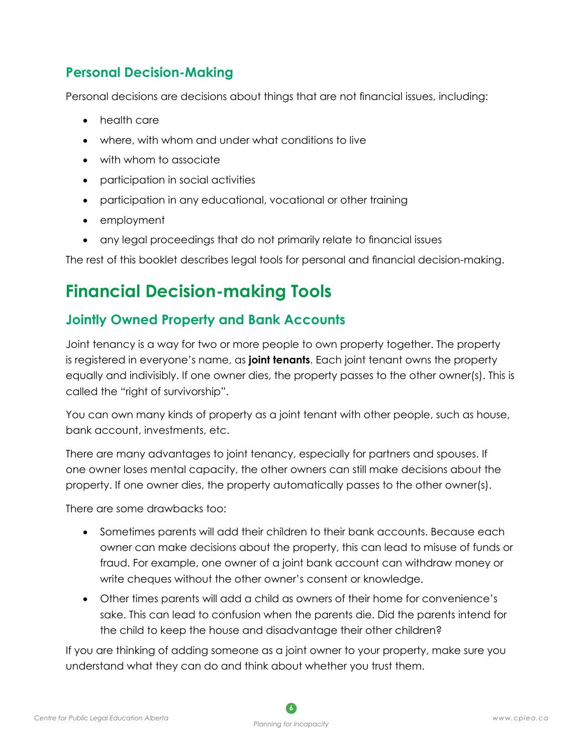## **Personal Decision-Making**

Personal decisions are decisions about things that are not financial issues, including:

- health care
- where, with whom and under what conditions to live
- with whom to associate
- • participation in social activities
- participation in any educational, vocational or other training
- • employment
- any legal proceedings that do not primarily relate to financial issues

The rest of this booklet describes legal tools for personal and financial decision-making.

## **Financial Decision-making Tools**

## **Jointly Owned Property and Bank Accounts**

Joint tenancy is a way for two or more people to own property together. The property is registered in everyone's name, as **joint tenants**. Each joint tenant owns the property equally and indivisibly. If one owner dies, the property passes to the other owner(s). This is called the "right of survivorship".

You can own many kinds of property as a joint tenant with other people, such as house, bank account, investments, etc.

There are many advantages to joint tenancy, especially for partners and spouses. If one owner loses mental capacity, the other owners can still make decisions about the property. If one owner dies, the property automatically passes to the other owner(s).

There are some drawbacks too:

- Sometimes parents will add their children to their bank accounts. Because each owner can make decisions about the property, this can lead to misuse of funds or fraud. For example, one owner of a joint bank account can withdraw money or write cheques without the other owner's consent or knowledge.
- Other times parents will add a child as owners of their home for convenience's sake. This can lead to confusion when the parents die. Did the parents intend for the child to keep the house and disadvantage their other children?

If you are thinking of adding someone as a joint owner to your property, make sure you understand what they can do and think about whether you trust them.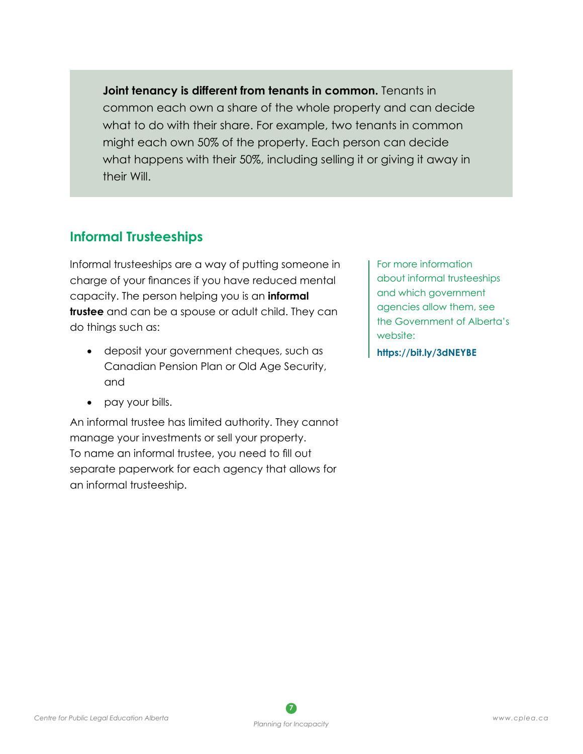**Joint tenancy is different from tenants in common.** Tenants in common each own a share of the whole property and can decide what to do with their share. For example, two tenants in common might each own 50% of the property. Each person can decide what happens with their 50%, including selling it or giving it away in their Will.

## **Informal Trusteeships**

Informal trusteeships are a way of putting someone in charge of your finances if you have reduced mental capacity. The person helping you is an **informal trustee** and can be a spouse or adult child. They can do things such as:

- deposit your government cheques, such as Canadian Pension Plan or Old Age Security, and
- pay your bills.

An informal trustee has limited authority. They cannot manage your investments or sell your property. To name an informal trustee, you need to fill out separate paperwork for each agency that allows for an informal trusteeship.

For more information about informal trusteeships and which government agencies allow them, see the Government of Alberta's website:

**https://bit.ly/3dNEYBE**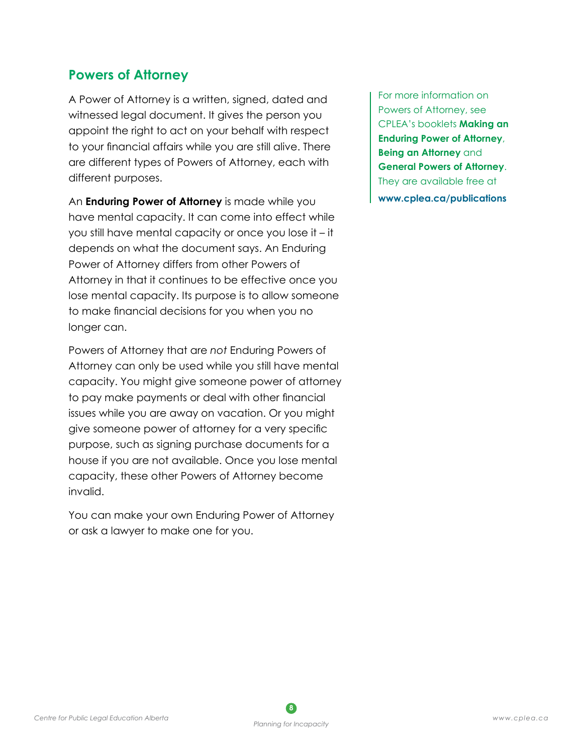#### **Powers of Attorney**

A Power of Attorney is a written, signed, dated and witnessed legal document. It gives the person you appoint the right to act on your behalf with respect to your financial affairs while you are still alive. There are different types of Powers of Attorney, each with different purposes.

An **Enduring Power of Attorney** is made while you have mental capacity. It can come into effect while you still have mental capacity or once you lose it – it depends on what the document says. An Enduring Power of Attorney differs from other Powers of Attorney in that it continues to be effective once you lose mental capacity. Its purpose is to allow someone to make financial decisions for you when you no longer can.

Powers of Attorney that are *not* Enduring Powers of Attorney can only be used while you still have mental capacity. You might give someone power of attorney to pay make payments or deal with other financial issues while you are away on vacation. Or you might give someone power of attorney for a very specific purpose, such as signing purchase documents for a house if you are not available. Once you lose mental capacity, these other Powers of Attorney become invalid.

You can make your own Enduring Power of Attorney or ask a lawyer to make one for you.

For more information on Powers of Attorney, see CPLEA's booklets **Making an Enduring Power of Attorney**, **Being an Attorney** and **General Powers of Attorney**. They are available free at **[www.cplea.ca/publications](http://www.cplea.ca/publications)**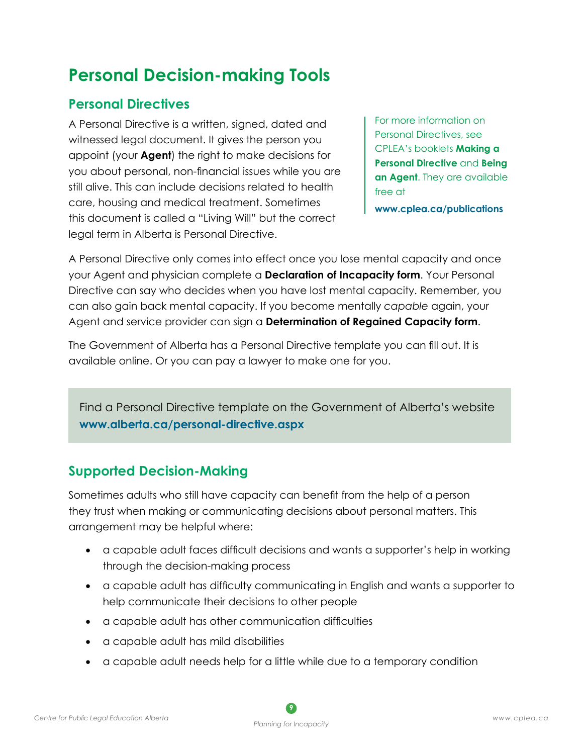## **Personal Decision-making Tools**

## **Personal Directives**

A Personal Directive is a written, signed, dated and witnessed legal document. It gives the person you appoint (your **Agent**) the right to make decisions for you about personal, non-financial issues while you are still alive. This can include decisions related to health care, housing and medical treatment. Sometimes this document is called a "Living Will" but the correct legal term in Alberta is Personal Directive.

For more information on Personal Directives, see CPLEA's booklets **Making a Personal Directive** and **Being an Agent**. They are available free at

**[www.cplea.ca/publications](http://www.cplea.ca/publications)**

A Personal Directive only comes into effect once you lose mental capacity and once your Agent and physician complete a **Declaration of Incapacity form**. Your Personal Directive can say who decides when you have lost mental capacity. Remember, you can also gain back mental capacity. If you become mentally *capable* again, your Agent and service provider can sign a **Determination of Regained Capacity form**.

The Government of Alberta has a Personal Directive template you can fill out. It is available online. Or you can pay a lawyer to make one for you.

Find a Personal Directive template on the Government of Alberta's website **www.alberta.ca/personal-directive.aspx**

## **Supported Decision-Making**

Sometimes adults who still have capacity can benefit from the help of a person they trust when making or communicating decisions about personal matters. This arrangement may be helpful where:

- • a capable adult faces difficult decisions and wants a supporter's help in working through the decision-making process
- • a capable adult has difficulty communicating in English and wants a supporter to help communicate their decisions to other people
- • a capable adult has other communication difficulties
- • a capable adult has mild disabilities
- • a capable adult needs help for a little while due to a temporary condition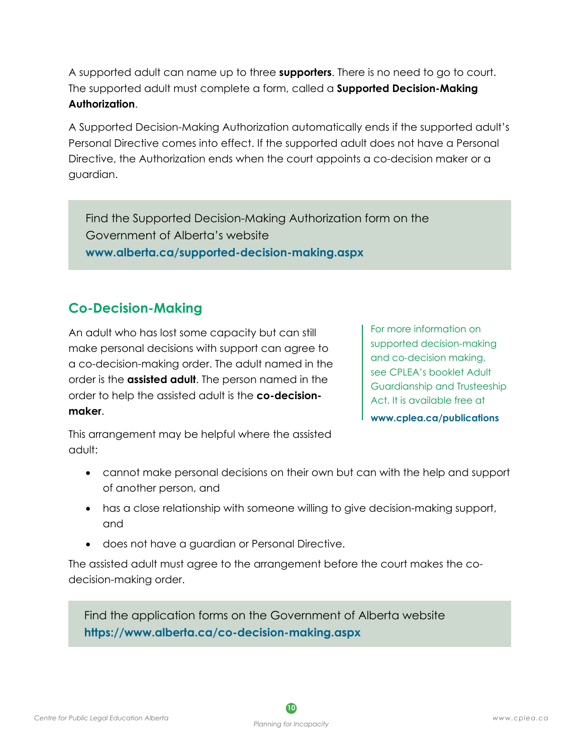A supported adult can name up to three **supporters**. There is no need to go to court. The supported adult must complete a form, called a **Supported Decision-Making Authorization**.

A Supported Decision-Making Authorization automatically ends if the supported adult's Personal Directive comes into effect. If the supported adult does not have a Personal Directive, the Authorization ends when the court appoints a co-decision maker or a guardian.

Find the Supported Decision-Making Authorization form on the Government of Alberta's website **[www.alberta.ca/supported-decision-making.aspx](http://www.alberta.ca/supported-decision-making.aspx)**

## **Co-Decision-Making**

An adult who has lost some capacity but can still make personal decisions with support can agree to a co-decision-making order. The adult named in the order is the **assisted adult**. The person named in the order to help the assisted adult is the **co-decisionmaker**.

For more information on supported decision-making and co-decision making, see CPLEA's booklet Adult Guardianship and Trusteeship Act. It is available free at **[www.cplea.ca/publications](http://www.cplea.ca/publications)**

This arrangement may be helpful where the assisted adult:

- cannot make personal decisions on their own but can with the help and support of another person, and
- has a close relationship with someone willing to give decision-making support, and
- does not have a guardian or Personal Directive.

The assisted adult must agree to the arrangement before the court makes the codecision-making order.

Find the application forms on the Government of Alberta website **<https://www.alberta.ca/co-decision-making.aspx>**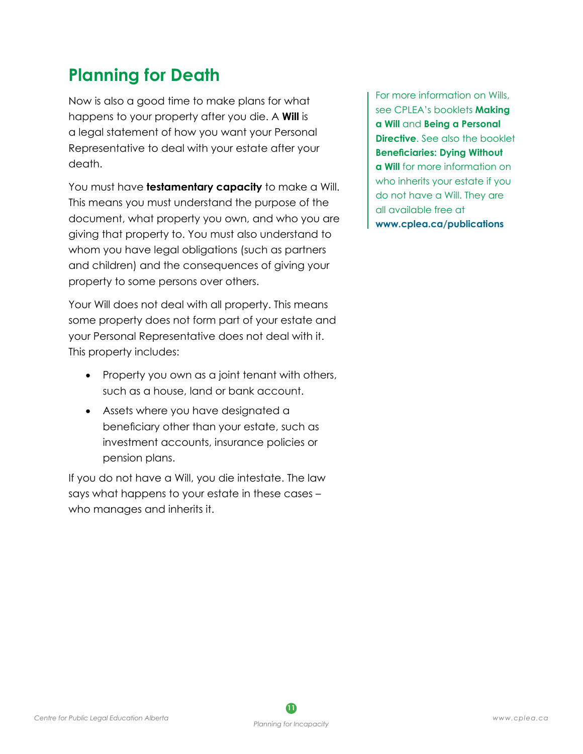## **Planning for Death**

Now is also a good time to make plans for what happens to your property after you die. A **Will** is a legal statement of how you want your Personal Representative to deal with your estate after your death.

You must have **testamentary capacity** to make a Will. This means you must understand the purpose of the document, what property you own, and who you are giving that property to. You must also understand to whom you have legal obligations (such as partners and children) and the consequences of giving your property to some persons over others.

Your Will does not deal with all property. This means some property does not form part of your estate and your Personal Representative does not deal with it. This property includes:

- Property you own as a joint tenant with others, such as a house, land or bank account.
- Assets where you have designated a beneficiary other than your estate, such as investment accounts, insurance policies or pension plans.

If you do not have a Will, you die intestate. The law says what happens to your estate in these cases – who manages and inherits it.

For more information on Wills, see CPLEA's booklets **Making a Will** and **Being a Personal Directive**. See also the booklet **Beneficiaries: Dying Without a Will** for more information on who inherits your estate if you do not have a Will. They are all available free at **[www.cplea.ca/publications](http://www.cplea.ca/publications)**